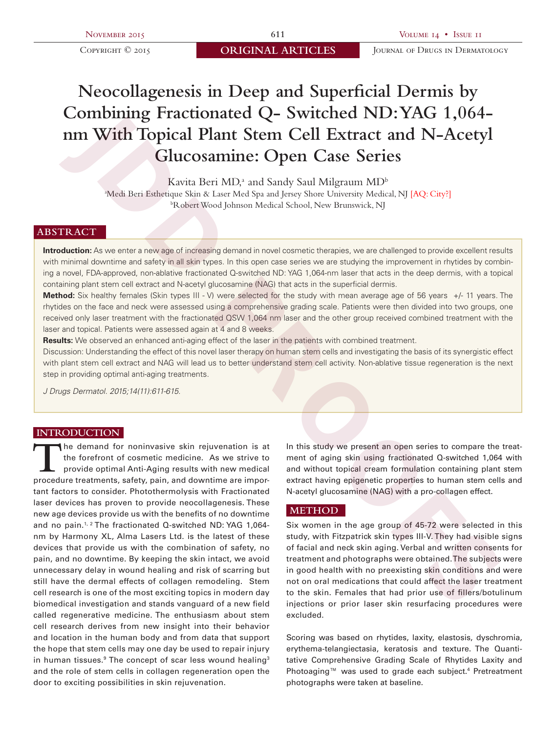# **Neocollagenesis in Deep and Superficial Dermis by Combining Fractionated Q- Switched ND: YAG 1,064 nm With Topical Plant Stem Cell Extract and N-Acetyl Glucosamine: Open Case Series**

Kavita Beri MD,<sup>a</sup> and Sandy Saul Milgraum MD<sup>b</sup>

Medi Beri Esthetique Skin & Laser Med Spa and Jersey Shore University Medical, NJ [AQ: City?]<br>b abert Wood Johnson Medical School, New Brunswick, NJ Robert Wood Johnson Medical School, New Brunswick, NJ

# **ABSTRACT**

**Introduction:** As we enter a new age of increasing demand in novel cosmetic therapies, we are challenged to provide excellent results with minimal downtime and safety in all skin types. In this open case series we are studying the improvement in rhytides by combining a novel, FDA-approved, non-ablative fractionated Q-switched ND: YAG 1,064-nm laser that acts in the deep dermis, with a topical containing plant stem cell extract and N-acetyl glucosamine (NAG) that acts in the superficial dermis.

**Method:** Six healthy females (Skin types III - V) were selected for the study with mean average age of 56 years +/- 11 years. The rhytides on the face and neck were assessed using a comprehensive grading scale. Patients were then divided into two groups, one received only laser treatment with the fractionated QSW 1,064 nm laser and the other group received combined treatment with the laser and topical. Patients were assessed again at 4 and 8 weeks.

**Results:** We observed an enhanced anti-aging effect of the laser in the patients with combined treatment.

Discussion: Understanding the effect of this novel laser therapy on human stem cells and investigating the basis of its synergistic effect with plant stem cell extract and NAG will lead us to better understand stem cell activity. Non-ablative tissue regeneration is the next step in providing optimal anti-aging treatments.

*J Drugs Dermatol. 2015;14(11):611-615.*

# **INTRODUCTION**

**T**he demand for noninvasive skin rejuvenation is at the forefront of cosmetic medicine. As we strive to provide optimal Anti-Aging results with new medical procedure treatments, safety, pain, and downtime are important factors to consider. Photothermolysis with Fractionated laser devices has proven to provide neocollagenesis. These new age devices provide us with the benefits of no downtime and no pain.<sup>1, 2</sup> The fractionated Q-switched ND: YAG 1,064nm by Harmony XL, Alma Lasers Ltd. is the latest of these devices that provide us with the combination of safety, no pain, and no downtime. By keeping the skin intact, we avoid unnecessary delay in wound healing and risk of scarring but still have the dermal effects of collagen remodeling. Stem cell research is one of the most exciting topics in modern day biomedical investigation and stands vanguard of a new field called regenerative medicine. The enthusiasm about stem cell research derives from new insight into their behavior and location in the human body and from data that support the hope that stem cells may one day be used to repair injury in human tissues. $9$  The concept of scar less wound healing<sup>3</sup> and the role of stem cells in collagen regeneration open the door to exciting possibilities in skin rejuvenation. **JOURNAL To CONSULTER CONSULTER CONSULTER CONSULTER CONSULTER CONSULTER CONSULTER CONSULTER CONSULTER CONSULTER CONSULTER CONSULTER CONSULTER CONSULTER CONSULTER CONSULTER CONSULTER CONSULTER CONSULTER CONSULTER CONSULTER** 

In this study we present an open series to compare the treatment of aging skin using fractionated Q-switched 1,064 with and without topical cream formulation containing plant stem extract having epigenetic properties to human stem cells and N-acetyl glucosamine (NAG) with a pro-collagen effect.

## **METHOD**

Six women in the age group of 45-72 were selected in this study, with Fitzpatrick skin types III-V. They had visible signs of facial and neck skin aging. Verbal and written consents for treatment and photographs were obtained. The subjects were in good health with no preexisting skin conditions and were not on oral medications that could affect the laser treatment to the skin. Females that had prior use of fillers/botulinum injections or prior laser skin resurfacing procedures were excluded.

Scoring was based on rhytides, laxity, elastosis, dyschromia, erythema-telangiectasia, keratosis and texture. The Quantitative Comprehensive Grading Scale of Rhytides Laxity and Photoaging™ was used to grade each subject.<sup>4</sup> Pretreatment photographs were taken at baseline.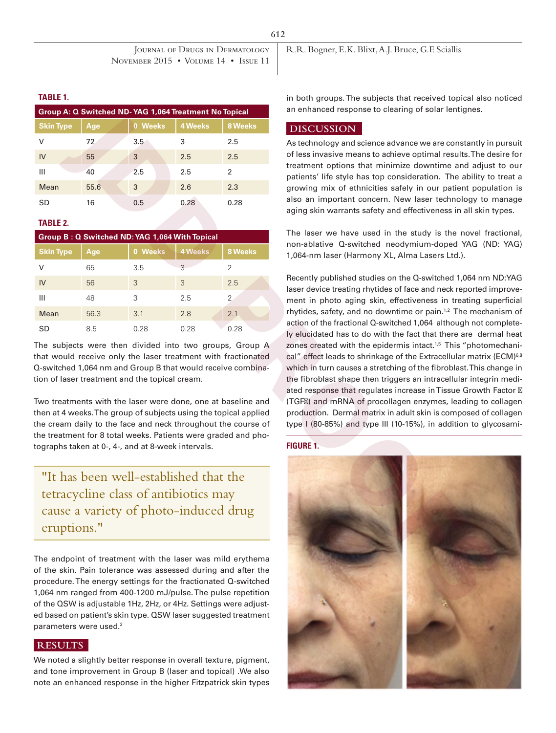#### **TABLE 1.**

| Group A: Q Switched ND-YAG 1,064 Treatment No Topical |      |         |                |         |  |  |
|-------------------------------------------------------|------|---------|----------------|---------|--|--|
| <b>Skin Type</b>                                      | Age  | 0 Weeks | <b>4 Weeks</b> | 8 Weeks |  |  |
| v                                                     | 72   | 3.5     | 3              | 2.5     |  |  |
| IV                                                    | 55   | 3       | 2.5            | 2.5     |  |  |
| Ш                                                     | 40   | 2.5     | 2.5            | 2       |  |  |
| Mean                                                  | 55.6 | 3       | 2.6            | 2.3     |  |  |
| SD                                                    | 16   | 0.5     | 0.28           | 0.28    |  |  |

## **TABLE 2.**

| Group B: Q Switched ND: YAG 1,064 With Topical |      |         |                |         |  |  |
|------------------------------------------------|------|---------|----------------|---------|--|--|
| <b>Skin Type</b>                               | Age, | 0 Weeks | <b>4 Weeks</b> | 8 Weeks |  |  |
| v                                              | 65   | 3.5     | 3              | 2       |  |  |
| IV                                             | 56   | 3       | 3              | 2.5     |  |  |
| Ш                                              | 48   | 3       | 2.5            | 2       |  |  |
| Mean                                           | 56.3 | 3.1     | 2.8            | 2.1     |  |  |
| SD                                             | 8.5  | 0.28    | 0.28           | 0.28    |  |  |

The subjects were then divided into two groups, Group A that would receive only the laser treatment with fractionated Q-switched 1,064 nm and Group B that would receive combination of laser treatment and the topical cream.

Two treatments with the laser were done, one at baseline and then at 4 weeks. The group of subjects using the topical applied the cream daily to the face and neck throughout the course of the treatment for 8 total weeks. Patients were graded and photographs taken at 0-, 4-, and at 8-week intervals.

"It has been well-established that the tetracycline class of antibiotics may cause a variety of photo-induced drug eruptions."

The endpoint of treatment with the laser was mild erythema of the skin. Pain tolerance was assessed during and after the procedure. The energy settings for the fractionated Q-switched 1,064 nm ranged from 400-1200 mJ/pulse. The pulse repetition of the QSW is adjustable 1Hz, 2Hz, or 4Hz. Settings were adjusted based on patient's skin type. QSW laser suggested treatment parameters were used.<sup>2</sup>

# **RESULTS**

We noted a slightly better response in overall texture, pigment, and tone improvement in Group B (laser and topical) .We also note an enhanced response in the higher Fitzpatrick skin types R.R. Bogner, E.K. Blixt, A.J. Bruce, G.F. Sciallis

in both groups. The subjects that received topical also noticed an enhanced response to clearing of solar lentignes.

### **DISCUSSION**

As technology and science advance we are constantly in pursuit of less invasive means to achieve optimal results. The desire for treatment options that minimize downtime and adjust to our patients' life style has top consideration. The ability to treat a growing mix of ethnicities safely in our patient population is also an important concern. New laser technology to manage aging skin warrants safety and effectiveness in all skin types.

The laser we have used in the study is the novel fractional, non-ablative Q-switched neodymium-doped YAG (ND: YAG) 1,064-nm laser (Harmony XL, Alma Lasers Ltd.).

Recently published studies on the Q-switched 1,064 nm ND:YAG laser device treating rhytides of face and neck reported improvement in photo aging skin, effectiveness in treating superficial rhytides, safety, and no downtime or pain.<sup>1,2</sup> The mechanism of action of the fractional Q-switched 1,064 although not completely elucidated has to do with the fact that there are dermal heat zones created with the epidermis intact.<sup>1,5</sup> This "photomechanical" effect leads to shrinkage of the Extracellular matrix (ECM)<sup>6,8</sup> which in turn causes a stretching of the fibroblast. This change in the fibroblast shape then triggers an intracellular integrin mediated response that regulates increase in Tissue Growth Factor (TGF ) and mRNA of procollagen enzymes, leading to collagen production. Dermal matrix in adult skin is composed of collagen type I (80-85%) and type III (10-15%), in addition to glycosami-

#### **FIGURE 1.**

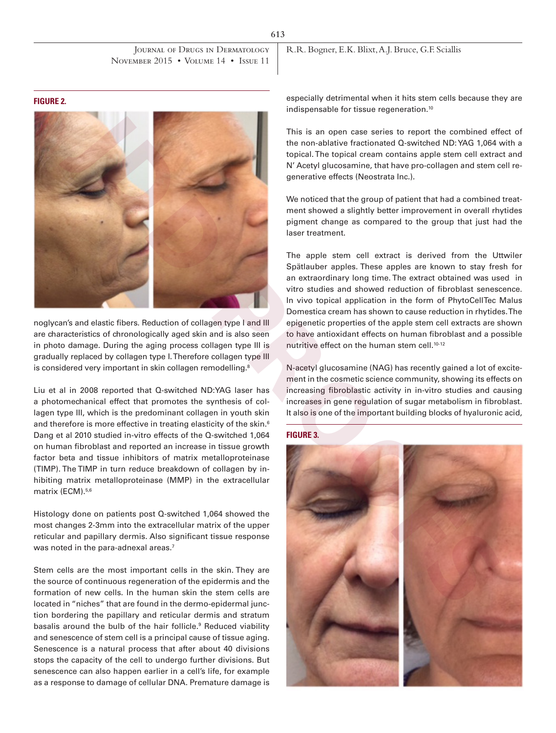JOURNAL OF DRUGS IN DERMATOLOGY November 2015 • Volume 14 • Issue 11

R.R. Bogner, E.K. Blixt, A.J. Bruce, G.F. Sciallis

**FIGURE 2.**



noglycan's and elastic fibers. Reduction of collagen type I and III are characteristics of chronologically aged skin and is also seen in photo damage. During the aging process collagen type III is gradually replaced by collagen type I. Therefore collagen type III is considered very important in skin collagen remodelling.<sup>8</sup>

Liu et al in 2008 reported that Q-switched ND:YAG laser has a photomechanical effect that promotes the synthesis of collagen type III, which is the predominant collagen in youth skin and therefore is more effective in treating elasticity of the skin.<sup>6</sup> Dang et al 2010 studied in-vitro effects of the Q-switched 1,064 on human fibroblast and reported an increase in tissue growth factor beta and tissue inhibitors of matrix metalloproteinase (TIMP). The TIMP in turn reduce breakdown of collagen by inhibiting matrix metalloproteinase (MMP) in the extracellular matrix (ECM).<sup>5,6</sup>

Histology done on patients post Q-switched 1,064 showed the most changes 2-3mm into the extracellular matrix of the upper reticular and papillary dermis. Also significant tissue response was noted in the para-adnexal areas.<sup>7</sup>

Stem cells are the most important cells in the skin. They are the source of continuous regeneration of the epidermis and the formation of new cells. In the human skin the stem cells are located in "niches" that are found in the dermo-epidermal junction bordering the papillary and reticular dermis and stratum basalis around the bulb of the hair follicle.<sup>9</sup> Reduced viability and senescence of stem cell is a principal cause of tissue aging. Senescence is a natural process that after about 40 divisions stops the capacity of the cell to undergo further divisions. But senescence can also happen earlier in a cell's life, for example as a response to damage of cellular DNA. Premature damage is

especially detrimental when it hits stem cells because they are indispensable for tissue regeneration.10

This is an open case series to report the combined effect of the non-ablative fractionated Q-switched ND: YAG 1,064 with a topical. The topical cream contains apple stem cell extract and N' Acetyl glucosamine, that have pro-collagen and stem cell regenerative effects (Neostrata Inc.).

We noticed that the group of patient that had a combined treatment showed a slightly better improvement in overall rhytides pigment change as compared to the group that just had the laser treatment.

The apple stem cell extract is derived from the Uttwiler Spӓtlauber apples. These apples are known to stay fresh for an extraordinary long time. The extract obtained was used in vitro studies and showed reduction of fibroblast senescence. In vivo topical application in the form of PhytoCellTec Malus Domestica cream has shown to cause reduction in rhytides. The epigenetic properties of the apple stem cell extracts are shown to have antioxidant effects on human fibroblast and a possible nutritive effect on the human stem cell.10-12

N-acetyl glucosamine (NAG) has recently gained a lot of excitement in the cosmetic science community, showing its effects on increasing fibroblastic activity in in-vitro studies and causing increases in gene regulation of sugar metabolism in fibroblast. It also is one of the important building blocks of hyaluronic acid,

### **FIGURE 3.**

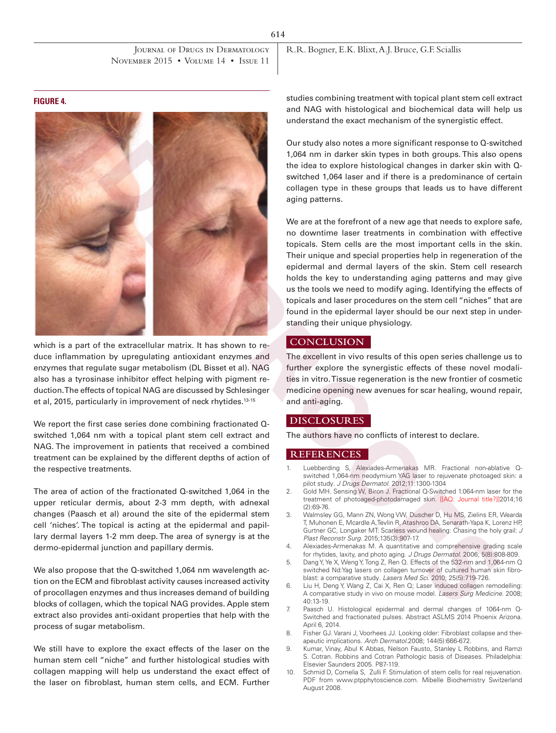JOURNAL OF DRUGS IN DERMATOLOGY November 2015 • Volume 14 • Issue 11

R.R. Bogner, E.K. Blixt, A.J. Bruce, G.F. Sciallis

**FIGURE 4.**



which is a part of the extracellular matrix. It has shown to reduce inflammation by upregulating antioxidant enzymes and enzymes that regulate sugar metabolism (DL Bisset et al). NAG also has a tyrosinase inhibitor effect helping with pigment reduction. The effects of topical NAG are discussed by Schlesinger et al, 2015, particularly in improvement of neck rhytides.<sup>13-15</sup>

We report the first case series done combining fractionated Qswitched 1,064 nm with a topical plant stem cell extract and NAG. The improvement in patients that received a combined treatment can be explained by the different depths of action of the respective treatments.

The area of action of the fractionated Q-switched 1,064 in the upper reticular dermis, about 2-3 mm depth, with adnexal changes (Paasch et al) around the site of the epidermal stem cell 'niches'. The topical is acting at the epidermal and papillary dermal layers 1-2 mm deep. The area of synergy is at the dermo-epidermal junction and papillary dermis.

We also propose that the Q-switched 1,064 nm wavelength action on the ECM and fibroblast activity causes increased activity of procollagen enzymes and thus increases demand of building blocks of collagen, which the topical NAG provides. Apple stem extract also provides anti-oxidant properties that help with the process of sugar metabolism.

We still have to explore the exact effects of the laser on the human stem cell "niche" and further histological studies with collagen mapping will help us understand the exact effect of the laser on fibroblast, human stem cells, and ECM. Further

studies combining treatment with topical plant stem cell extract and NAG with histological and biochemical data will help us understand the exact mechanism of the synergistic effect.

Our study also notes a more significant response to Q-switched 1,064 nm in darker skin types in both groups. This also opens the idea to explore histological changes in darker skin with Qswitched 1,064 laser and if there is a predominance of certain collagen type in these groups that leads us to have different aging patterns.

We are at the forefront of a new age that needs to explore safe, no downtime laser treatments in combination with effective topicals. Stem cells are the most important cells in the skin. Their unique and special properties help in regeneration of the epidermal and dermal layers of the skin. Stem cell research holds the key to understanding aging patterns and may give us the tools we need to modify aging. Identifying the effects of topicals and laser procedures on the stem cell "niches" that are found in the epidermal layer should be our next step in understanding their unique physiology.

## **CONCLUSION**

The excellent in vivo results of this open series challenge us to further explore the synergistic effects of these novel modalities in vitro. Tissue regeneration is the new frontier of cosmetic medicine opening new avenues for scar healing, wound repair, and anti-aging.

#### **DISCLOSURES**

The authors have no conflicts of interest to declare.

#### **REFERENCES**

- 1. Luebberding S, Alexiades-Armenakas MR. Fractional non-ablative Qswitched 1,064-nm neodymium YAG laser to rejuvenate photoaged skin: a pilot study*. J Drugs Dermatol*. 2012;11:1300-1304
- 2. Gold MH. Sensing W, Biron J. Fractional Q-Switched 1.064-nm laser for the treatment of photoaged-photodamaged skin. [[AQ: Journal title?]]2014;16 (2):69-76.
- 3. Walmsley GG, Mann ZN, Wong VW, Duscher D, Hu MS, Zielins ER, Wearda T, Muhonen E, Mcardle A,Tevlin R, Atashroo DA, Senarath-Yapa K, Lorenz HP, Gurtner GC, Longaker MT: Scarless wound healing: Chasing the holy grail: *J Plast Reconstr Surg*. 2015;135(3):907-17.
- 4. Alexiades-Armenakas M. A quantitative and comprehensive grading scale for rhytides, laxity, and photo aging. *J Drugs Dermatol*. 2006; 5(8):808-809.
- 5. Dang Y, Ye X, Weng Y, Tong Z, Ren Q. Effects of the 532-nm and 1,064-nm Q switched Nd:Yag lasers on collagen turnover of cultured human skin fibroblast: a comparative study*. Lasers Med Sci*. 2010; 25(5):719-726.
- 6. Liu H, Deng Y, Wang Z, Cai X, Ren Q; Laser induced collagen remodelling: A comparative study in vivo on mouse model*. Lasers Surg Medicine*. 2008; 40:13-19.
- 7. Paasch U. Histological epidermal and dermal changes of 1064-nm Q-Switched and fractionated pulses. Abstract ASLMS 2014 Phoenix Arizona. April 6, 2014.
- 8. Fisher GJ. Varani J, Voorhees JJ. Looking older: Fibroblast collapse and therapeutic implications. *Arch Dermatol*.2008; 144(5):666-672.
- 9. Kumar, Vinay, Abul K Abbas, Nelson Fausto, Stanley L Robbins, and Ramzi S. Cotran. Robbins and Cotran Pathologic basis of Diseases. Philadelphia: Elsevier Saunders 2005. P87-119.
- 10. Schmid D, Cornelia S, Zulli F. Stimulation of stem cells for real rejuvenation. PDF from www.ptpphytoscience.com. Mibelle Biochemistry Switzerland August 2008.